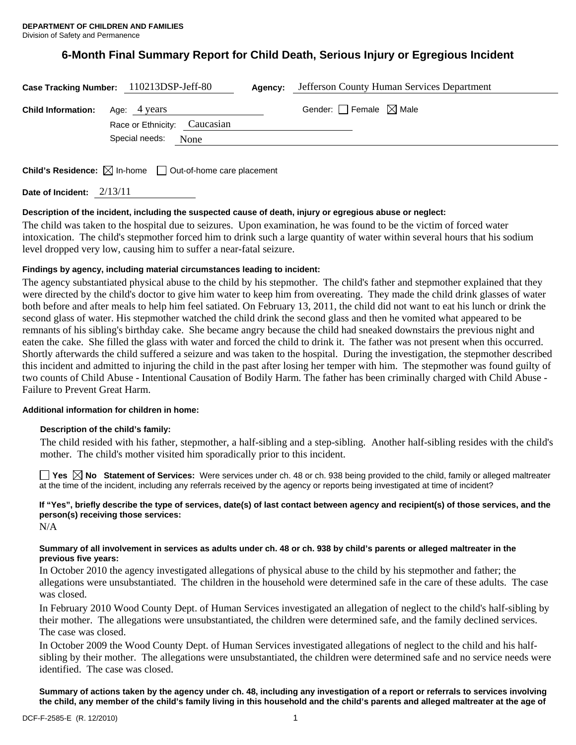# **6-Month Final Summary Report for Child Death, Serious Injury or Egregious Incident**

|                                        | Case Tracking Number: 110213DSP-Jeff-80             | Agency: | Jefferson County Human Services Department |
|----------------------------------------|-----------------------------------------------------|---------|--------------------------------------------|
| <b>Child Information:</b> Age: 4 years |                                                     |         | Gender: $\Box$ Female $\boxtimes$ Male     |
|                                        | Race or Ethnicity: Caucasian<br>Special needs: None |         |                                            |
|                                        | $\sqrt{2}$                                          |         |                                            |

**Child's Residence:**  $\boxtimes$  In-home  $\Box$  Out-of-home care placement

**Date of Incident:** 2/13/11

# **Description of the incident, including the suspected cause of death, injury or egregious abuse or neglect:**

The child was taken to the hospital due to seizures. Upon examination, he was found to be the victim of forced water intoxication. The child's stepmother forced him to drink such a large quantity of water within several hours that his sodium level dropped very low, causing him to suffer a near-fatal seizure.

# **Findings by agency, including material circumstances leading to incident:**

The agency substantiated physical abuse to the child by his stepmother. The child's father and stepmother explained that they were directed by the child's doctor to give him water to keep him from overeating. They made the child drink glasses of water both before and after meals to help him feel satiated. On February 13, 2011, the child did not want to eat his lunch or drink the second glass of water. His stepmother watched the child drink the second glass and then he vomited what appeared to be remnants of his sibling's birthday cake. She became angry because the child had sneaked downstairs the previous night and eaten the cake. She filled the glass with water and forced the child to drink it. The father was not present when this occurred. Shortly afterwards the child suffered a seizure and was taken to the hospital. During the investigation, the stepmother described this incident and admitted to injuring the child in the past after losing her temper with him. The stepmother was found guilty of two counts of Child Abuse - Intentional Causation of Bodily Harm. The father has been criminally charged with Child Abuse - Failure to Prevent Great Harm.

### **Additional information for children in home:**

### **Description of the child's family:**

 The child resided with his father, stepmother, a half-sibling and a step-sibling. Another half-sibling resides with the child's mother. The child's mother visited him sporadically prior to this incident.

**Yes No Statement of Services:** Were services under ch. 48 or ch. 938 being provided to the child, family or alleged maltreater at the time of the incident, including any referrals received by the agency or reports being investigated at time of incident?

# **If "Yes", briefly describe the type of services, date(s) of last contact between agency and recipient(s) of those services, and the person(s) receiving those services:**

N/A

# **Summary of all involvement in services as adults under ch. 48 or ch. 938 by child's parents or alleged maltreater in the previous five years:**

In October 2010 the agency investigated allegations of physical abuse to the child by his stepmother and father; the allegations were unsubstantiated. The children in the household were determined safe in the care of these adults. The case was closed.

In February 2010 Wood County Dept. of Human Services investigated an allegation of neglect to the child's half-sibling by their mother. The allegations were unsubstantiated, the children were determined safe, and the family declined services. The case was closed.

In October 2009 the Wood County Dept. of Human Services investigated allegations of neglect to the child and his halfsibling by their mother. The allegations were unsubstantiated, the children were determined safe and no service needs were identified. The case was closed.

**Summary of actions taken by the agency under ch. 48, including any investigation of a report or referrals to services involving the child, any member of the child's family living in this household and the child's parents and alleged maltreater at the age of**